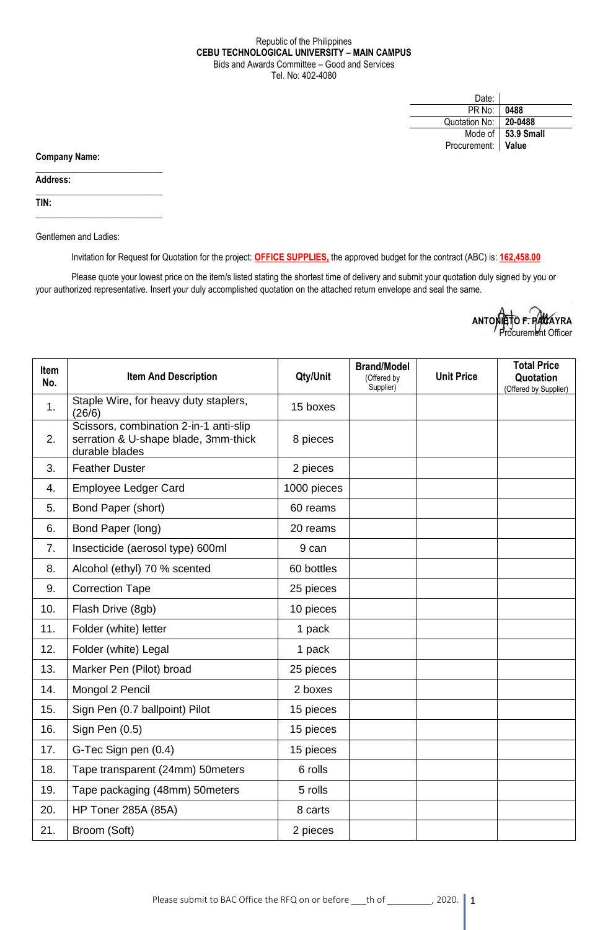## Republic of the Philippines **CEBU TECHNOLOGICAL UNIVERSITY – MAIN CAMPUS** Bids and Awards Committee – Good and Services Tel. No: 402-4080

| Date:              |                      |
|--------------------|----------------------|
| PR No:             | 0488                 |
| Quotation No:      | 20-0488              |
|                    | Mode of   53.9 Small |
| Procurement: Value |                      |

**Company Name:**

**Address:** 

**TIN:**

Gentlemen and Ladies:

 $\_$ 

 $\_$ 

\_\_\_\_\_\_\_\_\_\_\_\_\_\_\_\_\_\_\_\_\_\_\_\_\_\_\_\_

Invitation for Request for Quotation for the project: **OFFICE SUPPLIES,** the approved budget for the contract (ABC) is: **162,458.00**

Please quote your lowest price on the item/s listed stating the shortest time of delivery and submit your quotation duly signed by you or your authorized representative. Insert your duly accomplished quotation on the attached return envelope and seal the same.

| ANTONIETO F. PACAYRA |  |
|----------------------|--|
| Procurement Officer  |  |

| <b>Item</b><br>No. | <b>Item And Description</b>                                                                      | Qty/Unit    | <b>Brand/Model</b><br>(Offered by<br>Supplier) | <b>Unit Price</b> | <b>Total Price</b><br>Quotation<br>(Offered by Supplier) |
|--------------------|--------------------------------------------------------------------------------------------------|-------------|------------------------------------------------|-------------------|----------------------------------------------------------|
| 1.                 | Staple Wire, for heavy duty staplers,<br>(26/6)                                                  | 15 boxes    |                                                |                   |                                                          |
| 2.                 | Scissors, combination 2-in-1 anti-slip<br>serration & U-shape blade, 3mm-thick<br>durable blades | 8 pieces    |                                                |                   |                                                          |
| 3.                 | <b>Feather Duster</b>                                                                            | 2 pieces    |                                                |                   |                                                          |
| 4.                 | <b>Employee Ledger Card</b>                                                                      | 1000 pieces |                                                |                   |                                                          |
| 5.                 | Bond Paper (short)                                                                               | 60 reams    |                                                |                   |                                                          |
| 6.                 | Bond Paper (long)                                                                                | 20 reams    |                                                |                   |                                                          |
| 7.                 | Insecticide (aerosol type) 600ml                                                                 | 9 can       |                                                |                   |                                                          |
| 8.                 | Alcohol (ethyl) 70 % scented                                                                     | 60 bottles  |                                                |                   |                                                          |
| 9.                 | <b>Correction Tape</b>                                                                           | 25 pieces   |                                                |                   |                                                          |
| 10.                | Flash Drive (8gb)                                                                                | 10 pieces   |                                                |                   |                                                          |
| 11.                | Folder (white) letter                                                                            | 1 pack      |                                                |                   |                                                          |
| 12.                | Folder (white) Legal                                                                             | 1 pack      |                                                |                   |                                                          |
| 13.                | Marker Pen (Pilot) broad                                                                         | 25 pieces   |                                                |                   |                                                          |
| 14.                | Mongol 2 Pencil                                                                                  | 2 boxes     |                                                |                   |                                                          |
| 15.                | Sign Pen (0.7 ballpoint) Pilot                                                                   | 15 pieces   |                                                |                   |                                                          |
| 16.                | Sign Pen (0.5)                                                                                   | 15 pieces   |                                                |                   |                                                          |
| 17.                | G-Tec Sign pen (0.4)                                                                             | 15 pieces   |                                                |                   |                                                          |
| 18.                | Tape transparent (24mm) 50meters                                                                 | 6 rolls     |                                                |                   |                                                          |
| 19.                | Tape packaging (48mm) 50meters                                                                   | 5 rolls     |                                                |                   |                                                          |
| 20.                | <b>HP Toner 285A (85A)</b>                                                                       | 8 carts     |                                                |                   |                                                          |
| 21.                | Broom (Soft)                                                                                     | 2 pieces    |                                                |                   |                                                          |